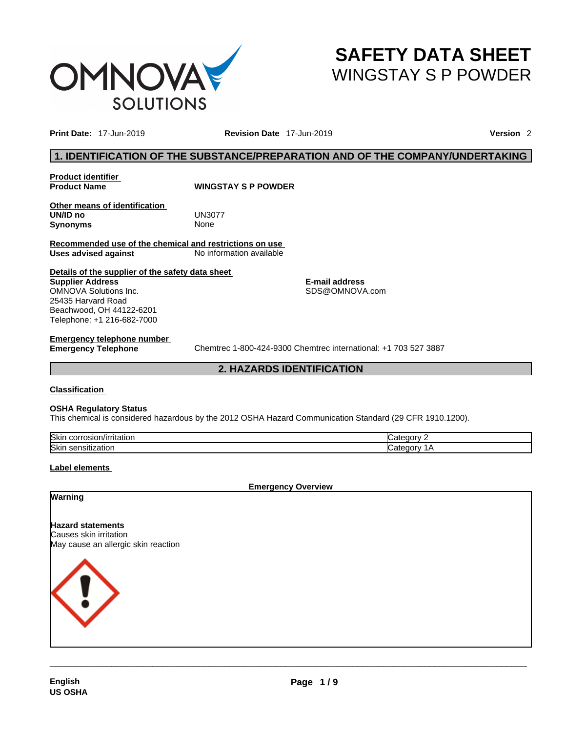

# **SAFETY DATA SHEET** WINGSTAY S P POWDER

**Print Date:** 17-Jun-2019 **Revision Date** 17-Jun-2019 **Version** 2

### **1. IDENTIFICATION OF THE SUBSTANCE/PREPARATION AND OF THE COMPANY/UNDERTAKING**

**Product identifier**

**WINGSTAY S P POWDER** 

**Other means of identification UN/ID no** UN3077 **Synonyms** None

**Recommended use of the chemical and restrictions on use Uses advised against** No information available

**Details of the supplier of the safety data sheet Supplier Address** OMNOVA Solutions Inc. 25435 Harvard Road Beachwood, OH 44122-6201 Telephone: +1 216-682-7000

**E-mail address** SDS@OMNOVA.com

# **Emergency telephone number**

**Emergency Telephone** Chemtrec 1-800-424-9300 Chemtrec international: +1 703 527 3887

### **2. HAZARDS IDENTIFICATION**

### **Classification**

### **OSHA Regulatory Status**

This chemical is considered hazardous by the 2012 OSHA Hazard Communication Standard (29 CFR 1910.1200).

| <b>Skir</b><br>чканог.<br>1511 |  |
|--------------------------------|--|
| <b>Skir</b><br>zauvu<br>பவபட   |  |

### **Label elements**

**Emergency Overview** 

### **Warning**

**Hazard statements** Causes skin irritation May cause an allergic skin reaction

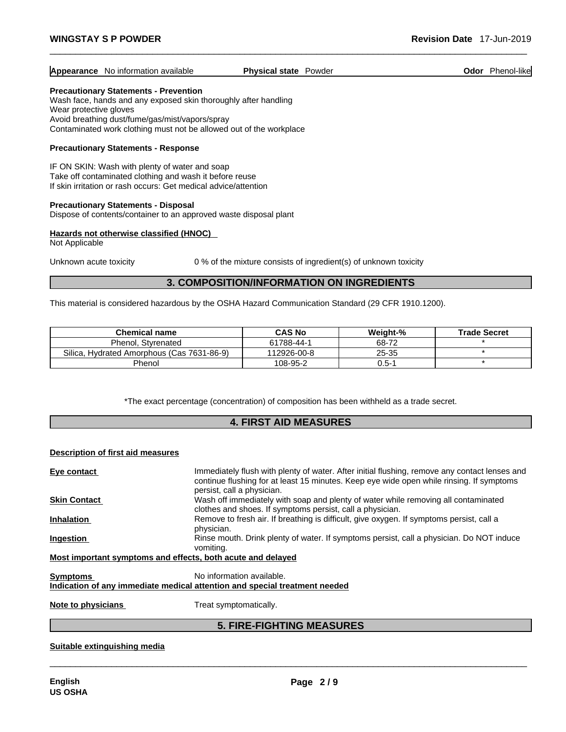| <b>Appearance</b> No information available | <b>Physical state Powder</b> |  | Odor | Phenol-like |
|--------------------------------------------|------------------------------|--|------|-------------|
|--------------------------------------------|------------------------------|--|------|-------------|

### **Precautionary Statements - Prevention**

Wash face, hands and any exposed skin thoroughly after handling Wear protective gloves Avoid breathing dust/fume/gas/mist/vapors/spray Contaminated work clothing must not be allowed out of the workplace

### **Precautionary Statements - Response**

IF ON SKIN: Wash with plenty of water and soap Take off contaminated clothing and wash it before reuse If skin irritation or rash occurs: Get medical advice/attention

### **Precautionary Statements - Disposal**

Dispose of contents/container to an approved waste disposal plant

### **Hazards not otherwise classified (HNOC)**

Not Applicable

Unknown acute toxicity 0% of the mixture consists of ingredient(s) of unknown toxicity

### **3. COMPOSITION/INFORMATION ON INGREDIENTS**

This material is considered hazardous by the OSHA Hazard Communication Standard (29 CFR 1910.1200).

| <b>Chemical name</b>                       | <b>CAS No</b> | Weight-%  | <b>Trade Secret</b> |
|--------------------------------------------|---------------|-----------|---------------------|
| Phenol, Styrenated                         | 61788-44-1    | 68-72     |                     |
| Silica, Hydrated Amorphous (Cas 7631-86-9) | 112926-00-8   | 25-35     |                     |
| Phenol                                     | 108-95-2      | $0.5 - 1$ |                     |

\*The exact percentage (concentration) of composition has been withheld as a trade secret.

### **4. FIRST AID MEASURES**

### **Description of first aid measures**

| Eye contact                      | Immediately flush with plenty of water. After initial flushing, remove any contact lenses and                                                   |
|----------------------------------|-------------------------------------------------------------------------------------------------------------------------------------------------|
|                                  | continue flushing for at least 15 minutes. Keep eye wide open while rinsing. If symptoms<br>persist, call a physician.                          |
| <b>Skin Contact</b>              | Wash off immediately with soap and plenty of water while removing all contaminated<br>clothes and shoes. If symptoms persist, call a physician. |
| <b>Inhalation</b>                | Remove to fresh air. If breathing is difficult, give oxygen. If symptoms persist, call a<br>physician.                                          |
| <b>Ingestion</b>                 | Rinse mouth. Drink plenty of water. If symptoms persist, call a physician. Do NOT induce<br>vomiting.                                           |
|                                  | Most important symptoms and effects, both acute and delayed                                                                                     |
| <b>Symptoms</b>                  | No information available.                                                                                                                       |
|                                  | Indication of any immediate medical attention and special treatment needed                                                                      |
| Martin the collected at a signal | Tues at an importance attacher                                                                                                                  |

**Note to physicians** Treat symptomatically.

### **5. FIRE-FIGHTING MEASURES**

 $\_$  ,  $\_$  ,  $\_$  ,  $\_$  ,  $\_$  ,  $\_$  ,  $\_$  ,  $\_$  ,  $\_$  ,  $\_$  ,  $\_$  ,  $\_$  ,  $\_$  ,  $\_$  ,  $\_$  ,  $\_$  ,  $\_$  ,  $\_$  ,  $\_$  ,  $\_$  ,  $\_$  ,  $\_$  ,  $\_$  ,  $\_$  ,  $\_$  ,  $\_$  ,  $\_$  ,  $\_$  ,  $\_$  ,  $\_$  ,  $\_$  ,  $\_$  ,  $\_$  ,  $\_$  ,  $\_$  ,  $\_$  ,  $\_$  ,

### **Suitable extinguishing media**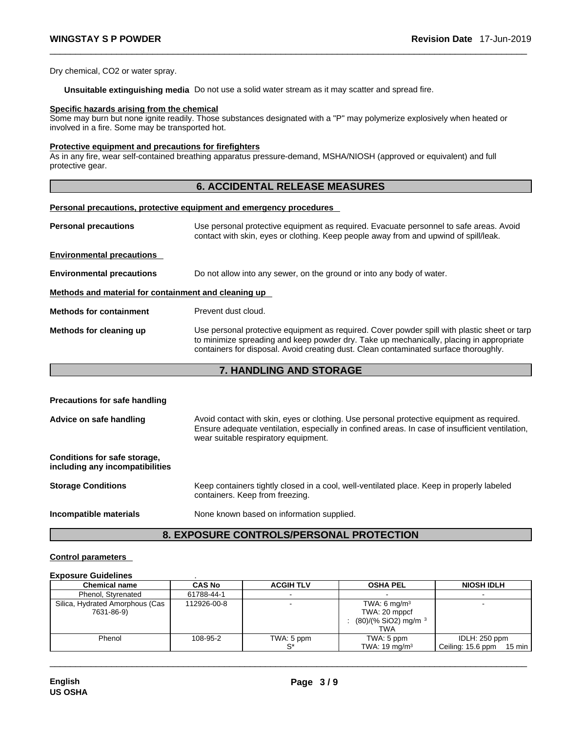Dry chemical, CO2 or water spray.

**Unsuitable extinguishing media** Do not use a solid water stream as it may scatterand spread fire.

### **Specific hazards arising from the chemical**

Some may burn but none ignite readily. Those substances designated with a "P" may polymerize explosively when heated or involved in a fire. Some may be transported hot.

### **Protective equipment and precautions for firefighters**

As in any fire, wear self-contained breathing apparatus pressure-demand, MSHA/NIOSH (approved or equivalent) and full protective gear.

### **6. ACCIDENTAL RELEASE MEASURES**

### **Personal precautions, protective equipment and emergency procedures**

| Use personal protective equipment as required. Evacuate personnel to safe areas. Avoid<br>contact with skin, eyes or clothing. Keep people away from and upwind of spill/leak.                                                                                                  |
|---------------------------------------------------------------------------------------------------------------------------------------------------------------------------------------------------------------------------------------------------------------------------------|
|                                                                                                                                                                                                                                                                                 |
| Do not allow into any sewer, on the ground or into any body of water.                                                                                                                                                                                                           |
| Methods and material for containment and cleaning up                                                                                                                                                                                                                            |
| Prevent dust cloud.                                                                                                                                                                                                                                                             |
| Use personal protective equipment as required. Cover powder spill with plastic sheet or tarp<br>to minimize spreading and keep powder dry. Take up mechanically, placing in appropriate<br>containers for disposal. Avoid creating dust. Clean contaminated surface thoroughly. |
|                                                                                                                                                                                                                                                                                 |

### **7. HANDLING AND STORAGE**

| <b>Precautions for safe handling</b>                            |                                                                                                                                                                                                                                      |
|-----------------------------------------------------------------|--------------------------------------------------------------------------------------------------------------------------------------------------------------------------------------------------------------------------------------|
| Advice on safe handling                                         | Avoid contact with skin, eyes or clothing. Use personal protective equipment as required.<br>Ensure adequate ventilation, especially in confined areas. In case of insufficient ventilation,<br>wear suitable respiratory equipment. |
| Conditions for safe storage,<br>including any incompatibilities |                                                                                                                                                                                                                                      |
| <b>Storage Conditions</b>                                       | Keep containers tightly closed in a cool, well-ventilated place. Keep in properly labeled<br>containers. Keep from freezing.                                                                                                         |
| Incompatible materials                                          | None known based on information supplied.                                                                                                                                                                                            |

### **8. EXPOSURE CONTROLS/PERSONAL PROTECTION**

### **Control parameters**

#### **Exposure Guidelines** .

| <b>Chemical name</b>                          | <b>CAS No</b> | <b>ACGIH TLV</b> | <b>OSHA PEL</b>                                                                     | <b>NIOSH IDLH</b>                                      |
|-----------------------------------------------|---------------|------------------|-------------------------------------------------------------------------------------|--------------------------------------------------------|
| Phenol, Styrenated                            | 61788-44-1    |                  |                                                                                     |                                                        |
| Silica, Hydrated Amorphous (Cas<br>7631-86-9) | 112926-00-8   |                  | TWA: 6 mg/m <sup>3</sup><br>TWA: 20 mppcf<br>$(80)/(%$ SiO2) mg/m $3$<br><b>TWA</b> |                                                        |
| Phenol                                        | 108-95-2      | TWA: 5 ppm       | TWA: 5 ppm<br>TWA: $19 \text{ mg/m}^3$                                              | IDLH: 250 ppm<br>Ceiling: 15.6 ppm<br>$15 \text{ min}$ |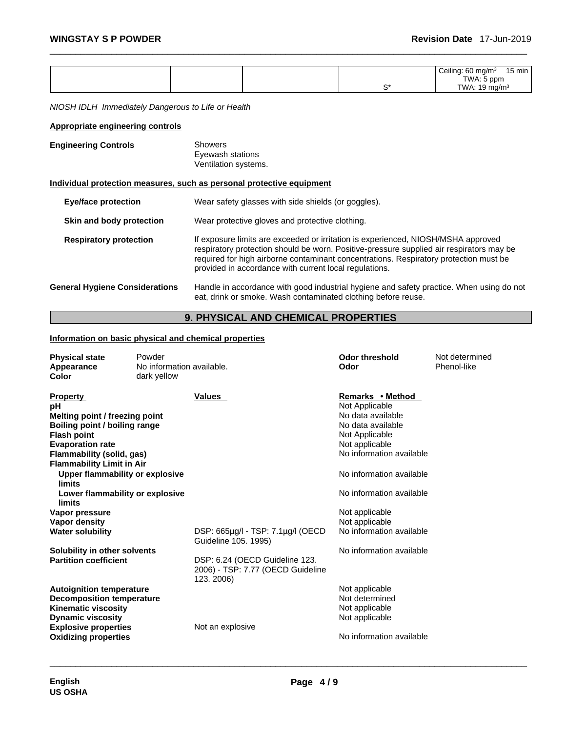| Ceiling: $60 \text{ mg/m}^3$<br>15 min<br>$\sim$ $\sim$ $\sim$ $\sim$ $\sim$ $\sim$ $\sim$ $\sim$<br>TWA: 5 ppm<br>ົ<br>TWA: 19 mg/m $3$ |
|------------------------------------------------------------------------------------------------------------------------------------------|
|------------------------------------------------------------------------------------------------------------------------------------------|

*NIOSH IDLH Immediately Dangerous to Life or Health* 

### **Appropriate engineering controls**

| <b>Engineering Controls</b>           | Showers<br>Eyewash stations<br>Ventilation systems.                                                                                                                                                                                                                                                                              |
|---------------------------------------|----------------------------------------------------------------------------------------------------------------------------------------------------------------------------------------------------------------------------------------------------------------------------------------------------------------------------------|
|                                       | Individual protection measures, such as personal protective equipment                                                                                                                                                                                                                                                            |
| <b>Eye/face protection</b>            | Wear safety glasses with side shields (or goggles).                                                                                                                                                                                                                                                                              |
| Skin and body protection              | Wear protective gloves and protective clothing.                                                                                                                                                                                                                                                                                  |
| <b>Respiratory protection</b>         | If exposure limits are exceeded or irritation is experienced, NIOSH/MSHA approved<br>respiratory protection should be worn. Positive-pressure supplied air respirators may be<br>required for high airborne contaminant concentrations. Respiratory protection must be<br>provided in accordance with current local regulations. |
| <b>General Hygiene Considerations</b> | Handle in accordance with good industrial hygiene and safety practice. When using do not<br>eat, drink or smoke. Wash contaminated clothing before reuse.                                                                                                                                                                        |

### **9. PHYSICAL AND CHEMICAL PROPERTIES**

### **Information on basic physical and chemical properties**

| <b>Physical state</b><br>Appearance<br><b>Color</b>                                                                                                                                         | Powder<br>No information available.<br>dark yellow |                                                                                   | <b>Odor threshold</b><br>Odor                                                                                                                | Not determined<br>Phenol-like |
|---------------------------------------------------------------------------------------------------------------------------------------------------------------------------------------------|----------------------------------------------------|-----------------------------------------------------------------------------------|----------------------------------------------------------------------------------------------------------------------------------------------|-------------------------------|
| <b>Property</b><br>pН<br>Melting point / freezing point<br>Boiling point / boiling range<br><b>Flash point</b><br><b>Evaporation rate</b><br>Flammability (solid, gas)                      |                                                    | Values                                                                            | Remarks • Method<br>Not Applicable<br>No data available<br>No data available<br>Not Applicable<br>Not applicable<br>No information available |                               |
| <b>Flammability Limit in Air</b><br>Upper flammability or explosive                                                                                                                         |                                                    |                                                                                   | No information available                                                                                                                     |                               |
| limits<br>Lower flammability or explosive<br>limits                                                                                                                                         |                                                    |                                                                                   | No information available                                                                                                                     |                               |
| Vapor pressure                                                                                                                                                                              |                                                    |                                                                                   | Not applicable                                                                                                                               |                               |
| <b>Vapor density</b><br><b>Water solubility</b>                                                                                                                                             |                                                    | DSP: 665µg/l - TSP: 7.1µg/l (OECD<br>Guideline 105. 1995)                         | Not applicable<br>No information available                                                                                                   |                               |
| Solubility in other solvents<br><b>Partition coefficient</b>                                                                                                                                |                                                    | DSP: 6.24 (OECD Guideline 123.<br>2006) - TSP: 7.77 (OECD Guideline<br>123. 2006) | No information available                                                                                                                     |                               |
| <b>Autoignition temperature</b><br><b>Decomposition temperature</b><br><b>Kinematic viscosity</b><br><b>Dynamic viscosity</b><br><b>Explosive properties</b><br><b>Oxidizing properties</b> |                                                    | Not an explosive                                                                  | Not applicable<br>Not determined<br>Not applicable<br>Not applicable<br>No information available                                             |                               |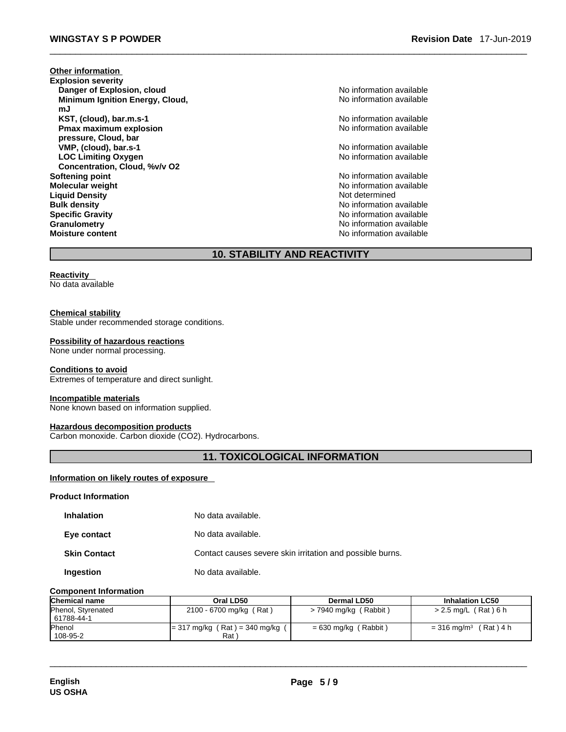**Other information Explosion severity Danger of Explosion, cloud** No information available **Minimum Ignition Energy, Cloud, mJ KST, (cloud), bar.m.s-1 Constant Constant Constant Constant Constant Constant Constant Constant Constant Constant Constant Constant Constant Constant Constant Constant Constant Constant Constant Constant Constant Consta Pmax maximum explosion pressure, Cloud, bar VMP, (cloud), bar.s-1 Cloud), bar.s-1** No information available **LOC Limiting Oxygen Concentration, Cloud, %v/v O2 Softening point point point point** *point point point point point point point point point point point point point point point point point point* **Molecular weight** No information available No information available **Liquid Density** Not determined **Bulk density**<br> **Bulk density**<br> **Specific Gravity**<br> **No** information available<br>
No information available **Granulometry Constanting Constanting Constanting Constanting Constanting Constanting Constanting Constanting Constanting Constanting Constanting Constanting Constanting Constanting Constanting Constanting Constanting Co Moisture content Moisture** content

No information available

No information available

No information available

**Specific Gravity** No information available

### **10. STABILITY AND REACTIVITY**

### **Reactivity**

No data available

### **Chemical stability**

Stable under recommended storage conditions.

#### **Possibility of hazardous reactions**

None under normal processing.

#### **Conditions to avoid**

Extremes of temperature and direct sunlight.

#### **Incompatible materials**

None known based on information supplied.

### **Hazardous decomposition products**

Carbon monoxide. Carbon dioxide (CO2). Hydrocarbons.

### **11. TOXICOLOGICAL INFORMATION**

### **Information on likely routes of exposure**

#### **Product Information**

| <b>Inhalation</b>   | No data available.                                        |
|---------------------|-----------------------------------------------------------|
| Eye contact         | No data available.                                        |
| <b>Skin Contact</b> | Contact causes severe skin irritation and possible burns. |
| Ingestion           | No data available.                                        |

### **Component Information**

| <b>Chemical name</b> | Oral LD50                               | Dermal LD50             | <b>Inhalation LC50</b>                 |
|----------------------|-----------------------------------------|-------------------------|----------------------------------------|
| Phenol, Styrenated   | 2100 - 6700 mg/kg (Rat)                 | $>$ 7940 mg/kg (Rabbit) | > 2.5 mg/L (Rat) 6 h                   |
| 61788-44-1           |                                         |                         |                                        |
| <b>Phenol</b>        | $= 317 \text{ mg/kg}$ (Rat) = 340 mg/kg | $= 630$ mg/kg (Rabbit)  | (Rat) 4 h<br>$= 316$ mg/m <sup>3</sup> |
| 108-95-2             | Rat <sup>'</sup>                        |                         |                                        |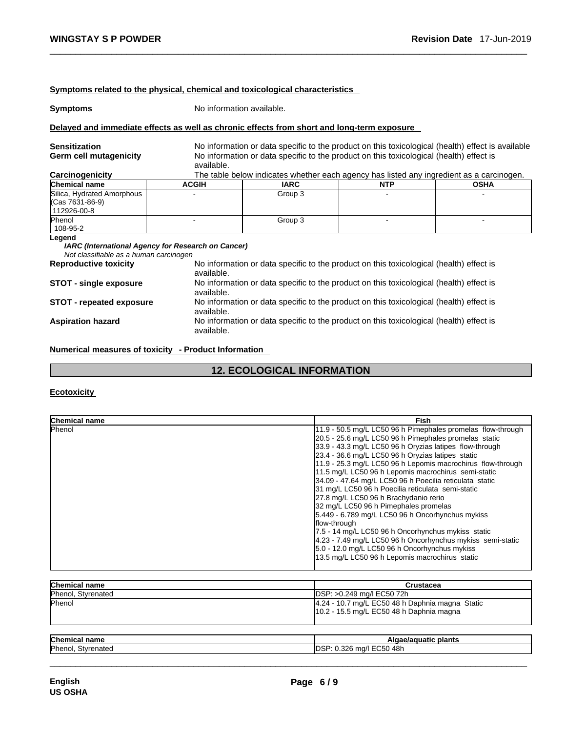|                                                                                  |                                                    | Symptoms related to the physical, chemical and toxicological characteristics                                                                                                                 |            |             |
|----------------------------------------------------------------------------------|----------------------------------------------------|----------------------------------------------------------------------------------------------------------------------------------------------------------------------------------------------|------------|-------------|
| <b>Symptoms</b>                                                                  | No information available.                          |                                                                                                                                                                                              |            |             |
|                                                                                  |                                                    | Delayed and immediate effects as well as chronic effects from short and long-term exposure                                                                                                   |            |             |
| <b>Sensitization</b><br>Germ cell mutagenicity                                   | available.                                         | No information or data specific to the product on this toxicological (health) effect is available<br>No information or data specific to the product on this toxicological (health) effect is |            |             |
| Carcinogenicity<br>Chemical name                                                 | <b>ACGIH</b>                                       | The table below indicates whether each agency has listed any ingredient as a carcinogen.<br><b>IARC</b>                                                                                      | <b>NTP</b> | <b>OSHA</b> |
| Silica, Hydrated Amorphous<br>(Cas 7631-86-9)<br>112926-00-8                     |                                                    | Group 3                                                                                                                                                                                      |            |             |
| <b>Phenol</b><br>108-95-2                                                        |                                                    | Group 3                                                                                                                                                                                      |            |             |
| Legend<br>Not classifiable as a human carcinogen<br><b>Reproductive toxicity</b> | IARC (International Agency for Research on Cancer) | No information or data specific to the product on this toxicological (health) effect is                                                                                                      |            |             |
| <b>STOT - single exposure</b>                                                    | available.<br>available.                           | No information or data specific to the product on this toxicological (health) effect is                                                                                                      |            |             |
| <b>STOT - repeated exposure</b>                                                  | available.                                         | No information or data specific to the product on this toxicological (health) effect is                                                                                                      |            |             |
| <b>Aspiration hazard</b>                                                         | available.                                         | No information or data specific to the product on this toxicological (health) effect is                                                                                                      |            |             |

**Numerical measures of toxicity - Product Information**

## **12. ECOLOGICAL INFORMATION**

### **Ecotoxicity**

| <b>Chemical name</b> | Fish                                                        |
|----------------------|-------------------------------------------------------------|
| Phenol               | 11.9 - 50.5 mg/L LC50 96 h Pimephales promelas flow-through |
|                      | 20.5 - 25.6 mg/L LC50 96 h Pimephales promelas static       |
|                      | 33.9 - 43.3 mg/L LC50 96 h Oryzias latipes flow-through     |
|                      | 23.4 - 36.6 mg/L LC50 96 h Oryzias latipes static           |
|                      | 11.9 - 25.3 mg/L LC50 96 h Lepomis macrochirus flow-through |
|                      | 11.5 mg/L LC50 96 h Lepomis macrochirus semi-static         |
|                      | 34.09 - 47.64 mg/L LC50 96 h Poecilia reticulata static     |
|                      | 31 mg/L LC50 96 h Poecilia reticulata semi-static           |
|                      | 27.8 mg/L LC50 96 h Brachydanio rerio                       |
|                      | 32 mg/L LC50 96 h Pimephales promelas                       |
|                      | 5.449 - 6.789 mg/L LC50 96 h Oncorhynchus mykiss            |
|                      | flow-through                                                |
|                      | 7.5 - 14 mg/L LC50 96 h Oncorhynchus mykiss static          |
|                      | 4.23 - 7.49 mg/L LC50 96 h Oncorhynchus mykiss semi-static  |
|                      | 5.0 - 12.0 mg/L LC50 96 h Oncorhynchus mykiss               |
|                      | 13.5 mg/L LC50 96 h Lepomis macrochirus static              |
|                      |                                                             |

| Chemical name      | Crustacea                                                                                   |
|--------------------|---------------------------------------------------------------------------------------------|
| Phenol, Styrenated | DSP: >0.249 mg/l EC50 72h                                                                   |
| <b>Phenol</b>      | 4.24 - 10.7 mg/L EC50 48 h Daphnia magna Static<br>10.2 - 15.5 mg/L EC50 48 h Daphnia magna |
| Chemical name      |                                                                                             |
|                    | Algae/aguatic plants                                                                        |
| Phenol, Styrenated | DSP: 0.326 mg/l EC50 48h                                                                    |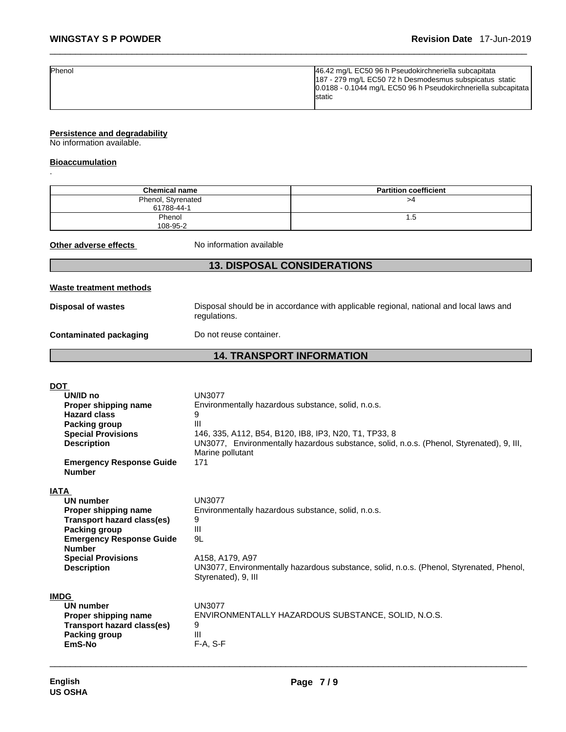| <b>Phenol</b> | 46.42 mg/L EC50 96 h Pseudokirchneriella subcapitata            |
|---------------|-----------------------------------------------------------------|
|               | 187 - 279 mg/L EC50 72 h Desmodesmus subspicatus static         |
|               | 10.0188 - 0.1044 mg/L EC50 96 h Pseudokirchneriella subcapitata |
|               | Istatic                                                         |
|               |                                                                 |

### **Persistence and degradability**

No information available.

### **Bioaccumulation**

.

| <b>Chemical name</b>                                                                                                                                                                                          |                                                                                                                                 | <b>Partition coefficient</b>                                                                                                                      |
|---------------------------------------------------------------------------------------------------------------------------------------------------------------------------------------------------------------|---------------------------------------------------------------------------------------------------------------------------------|---------------------------------------------------------------------------------------------------------------------------------------------------|
| Phenol, Styrenated<br>61788-44-1                                                                                                                                                                              |                                                                                                                                 | >4                                                                                                                                                |
| Phenol<br>108-95-2                                                                                                                                                                                            |                                                                                                                                 | 1.5                                                                                                                                               |
| Other adverse effects                                                                                                                                                                                         | No information available                                                                                                        |                                                                                                                                                   |
|                                                                                                                                                                                                               | <b>13. DISPOSAL CONSIDERATIONS</b>                                                                                              |                                                                                                                                                   |
| Waste treatment methods                                                                                                                                                                                       |                                                                                                                                 |                                                                                                                                                   |
| <b>Disposal of wastes</b>                                                                                                                                                                                     | regulations.                                                                                                                    | Disposal should be in accordance with applicable regional, national and local laws and                                                            |
| <b>Contaminated packaging</b>                                                                                                                                                                                 | Do not reuse container.                                                                                                         |                                                                                                                                                   |
|                                                                                                                                                                                                               | <b>14. TRANSPORT INFORMATION</b>                                                                                                |                                                                                                                                                   |
|                                                                                                                                                                                                               |                                                                                                                                 |                                                                                                                                                   |
| DOT<br>UN/ID no<br>Proper shipping name<br><b>Hazard class</b><br><b>Packing group</b><br><b>Special Provisions</b><br><b>Description</b><br><b>Emergency Response Guide</b><br><b>Number</b>                 | <b>UN3077</b><br>Environmentally hazardous substance, solid, n.o.s.<br>9<br>Ш<br>Marine pollutant<br>171                        | 146, 335, A112, B54, B120, IB8, IP3, N20, T1, TP33, 8<br>UN3077, Environmentally hazardous substance, solid, n.o.s. (Phenol, Styrenated), 9, III, |
| IATA<br>UN number<br>Proper shipping name<br><b>Transport hazard class(es)</b><br><b>Packing group</b><br><b>Emergency Response Guide</b><br><b>Number</b><br><b>Special Provisions</b><br><b>Description</b> | <b>UN3077</b><br>Environmentally hazardous substance, solid, n.o.s.<br>9<br>III<br>9L<br>A158, A179, A97<br>Styrenated), 9, III | UN3077, Environmentally hazardous substance, solid, n.o.s. (Phenol, Styrenated, Phenol,                                                           |
| IMDG<br><b>UN number</b><br>Proper shipping name<br><b>Transport hazard class(es)</b><br><b>Packing group</b><br>EmS-No                                                                                       | <b>UN3077</b><br>9<br>Ш<br>F-A, S-F                                                                                             | ENVIRONMENTALLY HAZARDOUS SUBSTANCE, SOLID, N.O.S.                                                                                                |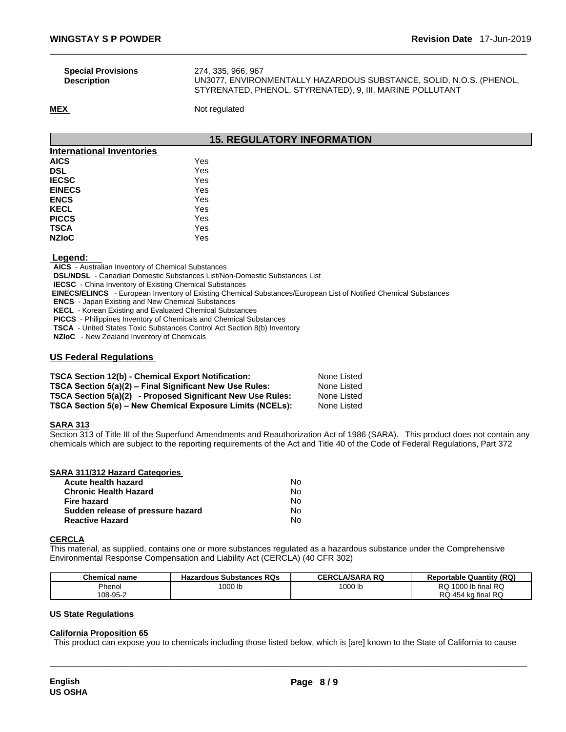| <b>Special Provisions</b> | 274. 335. 966. 967                                                  |
|---------------------------|---------------------------------------------------------------------|
| <b>Description</b>        | UN3077, ENVIRONMENTALLY HAZARDOUS SUBSTANCE, SOLID, N.O.S. (PHENOL, |
|                           | STYRENATED, PHENOL, STYRENATED), 9, III, MARINE POLLUTANT           |

**MEX** Not regulated

### **15. REGULATORY INFORMATION**

| <b>International Inventories</b> |     |  |
|----------------------------------|-----|--|
| <b>AICS</b>                      | Yes |  |
| <b>DSL</b>                       | Yes |  |
| <b>IECSC</b>                     | Yes |  |
| <b>EINECS</b>                    | Yes |  |
| <b>ENCS</b>                      | Yes |  |
| <b>KECL</b>                      | Yes |  |
| <b>PICCS</b>                     | Yes |  |
| <b>TSCA</b>                      | Yes |  |
| <b>NZIoC</b>                     | Yes |  |

### **Legend:**

**AICS** - Australian Inventory of Chemical Substances

**DSL/NDSL** - Canadian Domestic Substances List/Non-Domestic Substances List

**IECSC** - China Inventory of Existing Chemical Substances

 **EINECS/ELINCS** - European Inventory of Existing Chemical Substances/European List of Notified Chemical Substances

**ENCS** - Japan Existing and New Chemical Substances

**KECL** - Korean Existing and Evaluated Chemical Substances

**PICCS** - Philippines Inventory of Chemicals and Chemical Substances

**TSCA** - United States Toxic Substances Control Act Section 8(b) Inventory

**NZIoC** - New Zealand Inventory of Chemicals

### **US Federal Regulations**

| <b>TSCA Section 12(b) - Chemical Export Notification:</b>  | None Listed |
|------------------------------------------------------------|-------------|
| TSCA Section 5(a)(2) – Final Significant New Use Rules:    | None Listed |
| TSCA Section 5(a)(2) - Proposed Significant New Use Rules: | None Listed |
| TSCA Section 5(e) – New Chemical Exposure Limits (NCELs):  | None Listed |

### **SARA 313**

Section 313 of Title III of the Superfund Amendments and Reauthorization Act of 1986 (SARA). This product does not contain any chemicals which are subject to the reporting requirements of the Act and Title 40 of the Code of Federal Regulations, Part 372

| SARA 311/312 Hazard Categories    |    |  |
|-----------------------------------|----|--|
| Acute health hazard               | N٥ |  |
| <b>Chronic Health Hazard</b>      | No |  |
| <b>Fire hazard</b>                | No |  |
| Sudden release of pressure hazard | No |  |
| <b>Reactive Hazard</b>            | No |  |

### **CERCLA**

This material, as supplied, contains one or more substances regulated as a hazardous substance under the Comprehensive Environmental Response Compensation and Liability Act (CERCLA) (40 CFR 302)

| <b>Chemical name</b> | <b>Hazardous Substances RQs</b> | <b>CERCLA/SARA RQ</b> | <b>Reportable Quantity (RQ)</b> |
|----------------------|---------------------------------|-----------------------|---------------------------------|
| Phenol               | 1000 lb                         | 1000 lb               | 1000 lb final RQ<br>RQ.         |
| 108-95-2             |                                 |                       | RQ 454 kg final RQ              |

### **US State Regulations**

### **California Proposition 65**

This product can expose you to chemicals including those listed below, which is [are] known to the State of California to cause